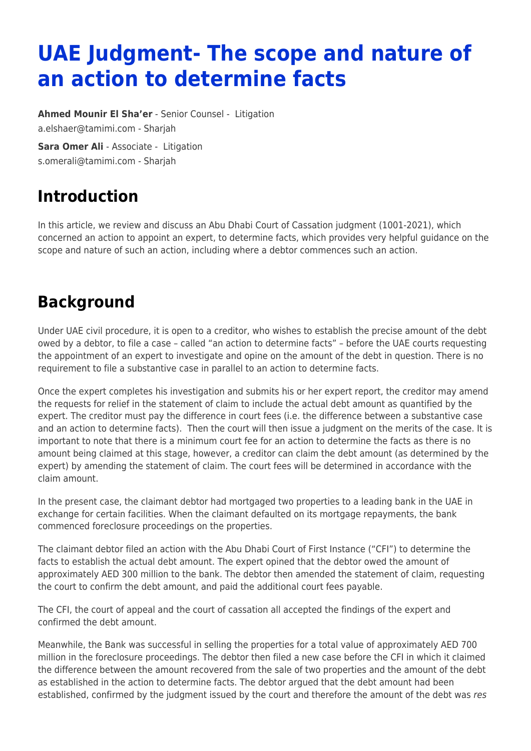# **UAE Judgment- The scope and nature of an action to determine facts**

**[Ahmed Mounir El Sha'er](https://www.tamimi.com/find-a-lawyer/ahmed-el-shaer/)** - Senior Counsel - [Litigation](https://www.tamimi.com/client-services/practices/litigation/) [a.elshaer@tamimi.com](mailto:a.elshaer@tamimi.com) - [Sharjah](https://www.tamimi.com/locations/uae/)

**[Sara Omer Ali](https://www.tamimi.com/find-a-lawyer/sara-omer-ali/)** - Associate - [Litigation](https://www.tamimi.com/client-services/practices/litigation/) [s.omerali@tamimi.com](mailto:s.omerali@tamimi.com) - [Sharjah](https://www.tamimi.com/locations/uae/)

#### **Introduction**

In this article, we review and discuss an Abu Dhabi Court of Cassation judgment (1001-2021), which concerned an action to appoint an expert, to determine facts, which provides very helpful guidance on the scope and nature of such an action, including where a debtor commences such an action.

### **Background**

Under UAE civil procedure, it is open to a creditor, who wishes to establish the precise amount of the debt owed by a debtor, to file a case – called "an action to determine facts" – before the UAE courts requesting the appointment of an expert to investigate and opine on the amount of the debt in question. There is no requirement to file a substantive case in parallel to an action to determine facts.

Once the expert completes his investigation and submits his or her expert report, the creditor may amend the requests for relief in the statement of claim to include the actual debt amount as quantified by the expert. The creditor must pay the difference in court fees (i.e. the difference between a substantive case and an action to determine facts). Then the court will then issue a judgment on the merits of the case. It is important to note that there is a minimum court fee for an action to determine the facts as there is no amount being claimed at this stage, however, a creditor can claim the debt amount (as determined by the expert) by amending the statement of claim. The court fees will be determined in accordance with the claim amount.

In the present case, the claimant debtor had mortgaged two properties to a leading bank in the UAE in exchange for certain facilities. When the claimant defaulted on its mortgage repayments, the bank commenced foreclosure proceedings on the properties.

The claimant debtor filed an action with the Abu Dhabi Court of First Instance ("CFI") to determine the facts to establish the actual debt amount. The expert opined that the debtor owed the amount of approximately AED 300 million to the bank. The debtor then amended the statement of claim, requesting the court to confirm the debt amount, and paid the additional court fees payable.

The CFI, the court of appeal and the court of cassation all accepted the findings of the expert and confirmed the debt amount.

Meanwhile, the Bank was successful in selling the properties for a total value of approximately AED 700 million in the foreclosure proceedings. The debtor then filed a new case before the CFI in which it claimed the difference between the amount recovered from the sale of two properties and the amount of the debt as established in the action to determine facts. The debtor argued that the debt amount had been established, confirmed by the judgment issued by the court and therefore the amount of the debt was res